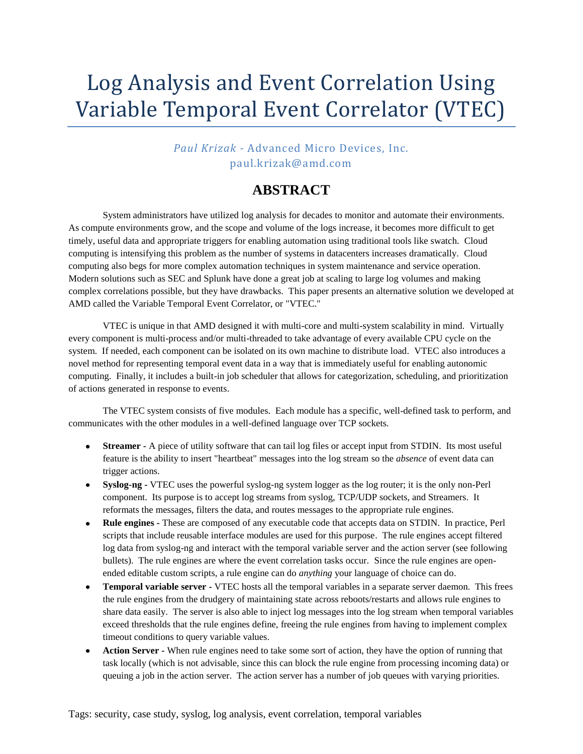## Log Analysis and Event Correlation Using Variable Temporal Event Correlator (VTEC)

*Paul Krizak -* Advanced Micro Devices, Inc. paul.krizak@amd.com

## **ABSTRACT**

System administrators have utilized log analysis for decades to monitor and automate their environments. As compute environments grow, and the scope and volume of the logs increase, it becomes more difficult to get timely, useful data and appropriate triggers for enabling automation using traditional tools like swatch. Cloud computing is intensifying this problem as the number of systems in datacenters increases dramatically. Cloud computing also begs for more complex automation techniques in system maintenance and service operation. Modern solutions such as SEC and Splunk have done a great job at scaling to large log volumes and making complex correlations possible, but they have drawbacks. This paper presents an alternative solution we developed at AMD called the Variable Temporal Event Correlator, or "VTEC."

VTEC is unique in that AMD designed it with multi-core and multi-system scalability in mind. Virtually every component is multi-process and/or multi-threaded to take advantage of every available CPU cycle on the system. If needed, each component can be isolated on its own machine to distribute load. VTEC also introduces a novel method for representing temporal event data in a way that is immediately useful for enabling autonomic computing. Finally, it includes a built-in job scheduler that allows for categorization, scheduling, and prioritization of actions generated in response to events.

The VTEC system consists of five modules. Each module has a specific, well-defined task to perform, and communicates with the other modules in a well-defined language over TCP sockets.

- **Streamer -** A piece of utility software that can tail log files or accept input from STDIN. Its most useful  $\bullet$ feature is the ability to insert "heartbeat" messages into the log stream so the *absence* of event data can trigger actions.
- **Syslog-ng -** VTEC uses the powerful syslog-ng system logger as the log router; it is the only non-Perl component. Its purpose is to accept log streams from syslog, TCP/UDP sockets, and Streamers. It reformats the messages, filters the data, and routes messages to the appropriate rule engines.
- **Rule engines -** These are composed of any executable code that accepts data on STDIN. In practice, Perl scripts that include reusable interface modules are used for this purpose. The rule engines accept filtered log data from syslog-ng and interact with the temporal variable server and the action server (see following bullets). The rule engines are where the event correlation tasks occur. Since the rule engines are openended editable custom scripts, a rule engine can do *anything* your language of choice can do.
- **Temporal variable server -** VTEC hosts all the temporal variables in a separate server daemon. This frees the rule engines from the drudgery of maintaining state across reboots/restarts and allows rule engines to share data easily. The server is also able to inject log messages into the log stream when temporal variables exceed thresholds that the rule engines define, freeing the rule engines from having to implement complex timeout conditions to query variable values.
- **Action Server -** When rule engines need to take some sort of action, they have the option of running that task locally (which is not advisable, since this can block the rule engine from processing incoming data) or queuing a job in the action server. The action server has a number of job queues with varying priorities.

Tags: security, case study, syslog, log analysis, event correlation, temporal variables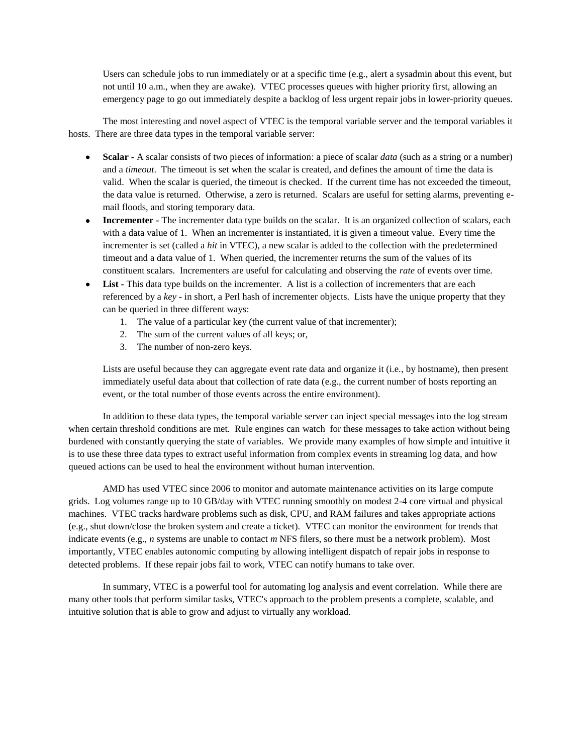Users can schedule jobs to run immediately or at a specific time (e.g., alert a sysadmin about this event, but not until 10 a.m., when they are awake). VTEC processes queues with higher priority first, allowing an emergency page to go out immediately despite a backlog of less urgent repair jobs in lower-priority queues.

The most interesting and novel aspect of VTEC is the temporal variable server and the temporal variables it hosts. There are three data types in the temporal variable server:

- **Scalar -** A scalar consists of two pieces of information: a piece of scalar *data* (such as a string or a number) and a *timeout*. The timeout is set when the scalar is created, and defines the amount of time the data is valid. When the scalar is queried, the timeout is checked. If the current time has not exceeded the timeout, the data value is returned. Otherwise, a zero is returned. Scalars are useful for setting alarms, preventing email floods, and storing temporary data.
- **Incrementer -** The incrementer data type builds on the scalar. It is an organized collection of scalars, each with a data value of 1. When an incrementer is instantiated, it is given a timeout value. Every time the incrementer is set (called a *hit* in VTEC), a new scalar is added to the collection with the predetermined timeout and a data value of 1. When queried, the incrementer returns the sum of the values of its constituent scalars. Incrementers are useful for calculating and observing the *rate* of events over time.
- List This data type builds on the incrementer. A list is a collection of incrementers that are each referenced by a *key* - in short, a Perl hash of incrementer objects. Lists have the unique property that they can be queried in three different ways:
	- 1. The value of a particular key (the current value of that incrementer);
	- 2. The sum of the current values of all keys; or,
	- 3. The number of non-zero keys.

Lists are useful because they can aggregate event rate data and organize it (i.e., by hostname), then present immediately useful data about that collection of rate data (e.g., the current number of hosts reporting an event, or the total number of those events across the entire environment).

In addition to these data types, the temporal variable server can inject special messages into the log stream when certain threshold conditions are met. Rule engines can watch for these messages to take action without being burdened with constantly querying the state of variables. We provide many examples of how simple and intuitive it is to use these three data types to extract useful information from complex events in streaming log data, and how queued actions can be used to heal the environment without human intervention.

AMD has used VTEC since 2006 to monitor and automate maintenance activities on its large compute grids. Log volumes range up to 10 GB/day with VTEC running smoothly on modest 2-4 core virtual and physical machines. VTEC tracks hardware problems such as disk, CPU, and RAM failures and takes appropriate actions (e.g., shut down/close the broken system and create a ticket). VTEC can monitor the environment for trends that indicate events (e.g., *n* systems are unable to contact *m* NFS filers, so there must be a network problem). Most importantly, VTEC enables autonomic computing by allowing intelligent dispatch of repair jobs in response to detected problems. If these repair jobs fail to work, VTEC can notify humans to take over.

In summary, VTEC is a powerful tool for automating log analysis and event correlation. While there are many other tools that perform similar tasks, VTEC's approach to the problem presents a complete, scalable, and intuitive solution that is able to grow and adjust to virtually any workload.